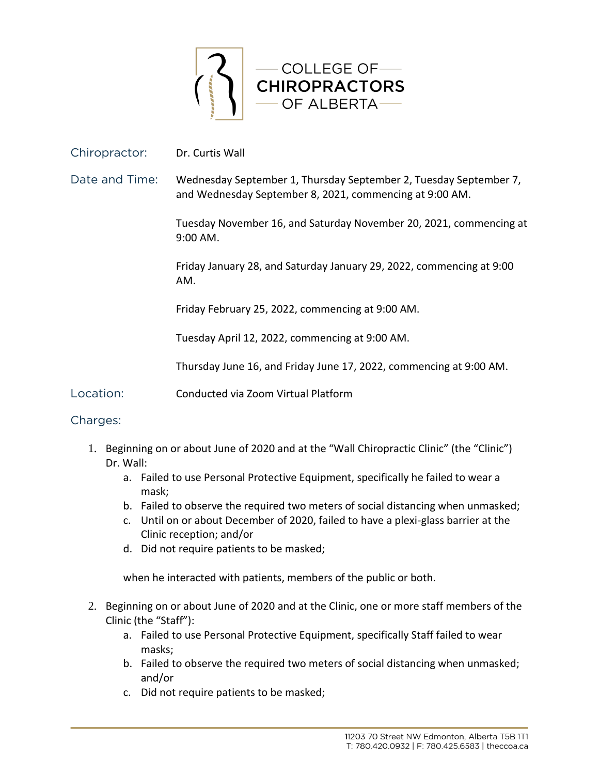

## Chiropractor: Dr. Curtis Wall

Date and Time: Wednesday September 1, Thursday September 2, Tuesday September 7, and Wednesday September 8, 2021, commencing at 9:00 AM.

> Tuesday November 16, and Saturday November 20, 2021, commencing at 9:00 AM.

Friday January 28, and Saturday January 29, 2022, commencing at 9:00 AM.

Friday February 25, 2022, commencing at 9:00 AM.

Tuesday April 12, 2022, commencing at 9:00 AM.

Thursday June 16, and Friday June 17, 2022, commencing at 9:00 AM.

Location: Conducted via Zoom Virtual Platform

## Charges:

- 1. Beginning on or about June of 2020 and at the "Wall Chiropractic Clinic" (the "Clinic") Dr. Wall:
	- a. Failed to use Personal Protective Equipment, specifically he failed to wear a mask;
	- b. Failed to observe the required two meters of social distancing when unmasked;
	- c. Until on or about December of 2020, failed to have a plexi-glass barrier at the Clinic reception; and/or
	- d. Did not require patients to be masked;

when he interacted with patients, members of the public or both.

- 2. Beginning on or about June of 2020 and at the Clinic, one or more staff members of the Clinic (the "Staff"):
	- a. Failed to use Personal Protective Equipment, specifically Staff failed to wear masks;
	- b. Failed to observe the required two meters of social distancing when unmasked; and/or
	- c. Did not require patients to be masked;